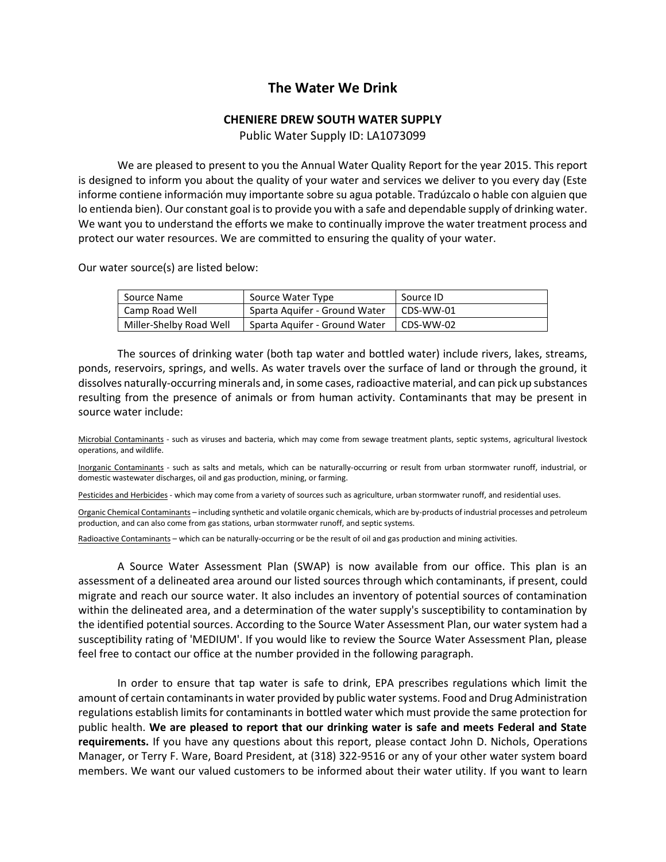# **The Water We Drink**

# **CHENIERE DREW SOUTH WATER SUPPLY**

Public Water Supply ID: LA1073099

We are pleased to present to you the Annual Water Quality Report for the year 2015. This report is designed to inform you about the quality of your water and services we deliver to you every day (Este informe contiene información muy importante sobre su agua potable. Tradúzcalo o hable con alguien que lo entienda bien). Our constant goal is to provide you with a safe and dependable supply of drinking water. We want you to understand the efforts we make to continually improve the water treatment process and protect our water resources. We are committed to ensuring the quality of your water.

Our water source(s) are listed below:

| Source Name             | Source Water Type             | Source ID |
|-------------------------|-------------------------------|-----------|
| Camp Road Well          | Sparta Aquifer - Ground Water | CDS-WW-01 |
| Miller-Shelby Road Well | Sparta Aguifer - Ground Water | CDS-WW-02 |

The sources of drinking water (both tap water and bottled water) include rivers, lakes, streams, ponds, reservoirs, springs, and wells. As water travels over the surface of land or through the ground, it dissolves naturally-occurring minerals and, in some cases, radioactive material, and can pick up substances resulting from the presence of animals or from human activity. Contaminants that may be present in source water include:

Microbial Contaminants - such as viruses and bacteria, which may come from sewage treatment plants, septic systems, agricultural livestock operations, and wildlife.

Inorganic Contaminants - such as salts and metals, which can be naturally-occurring or result from urban stormwater runoff, industrial, or domestic wastewater discharges, oil and gas production, mining, or farming.

Pesticides and Herbicides - which may come from a variety of sources such as agriculture, urban stormwater runoff, and residential uses.

Organic Chemical Contaminants – including synthetic and volatile organic chemicals, which are by-products of industrial processes and petroleum production, and can also come from gas stations, urban stormwater runoff, and septic systems.

Radioactive Contaminants – which can be naturally-occurring or be the result of oil and gas production and mining activities.

A Source Water Assessment Plan (SWAP) is now available from our office. This plan is an assessment of a delineated area around our listed sources through which contaminants, if present, could migrate and reach our source water. It also includes an inventory of potential sources of contamination within the delineated area, and a determination of the water supply's susceptibility to contamination by the identified potential sources. According to the Source Water Assessment Plan, our water system had a susceptibility rating of 'MEDIUM'. If you would like to review the Source Water Assessment Plan, please feel free to contact our office at the number provided in the following paragraph.

In order to ensure that tap water is safe to drink, EPA prescribes regulations which limit the amount of certain contaminants in water provided by public water systems. Food and Drug Administration regulations establish limits for contaminants in bottled water which must provide the same protection for public health. **We are pleased to report that our drinking water is safe and meets Federal and State requirements.** If you have any questions about this report, please contact John D. Nichols, Operations Manager, or Terry F. Ware, Board President, at (318) 322-9516 or any of your other water system board members. We want our valued customers to be informed about their water utility. If you want to learn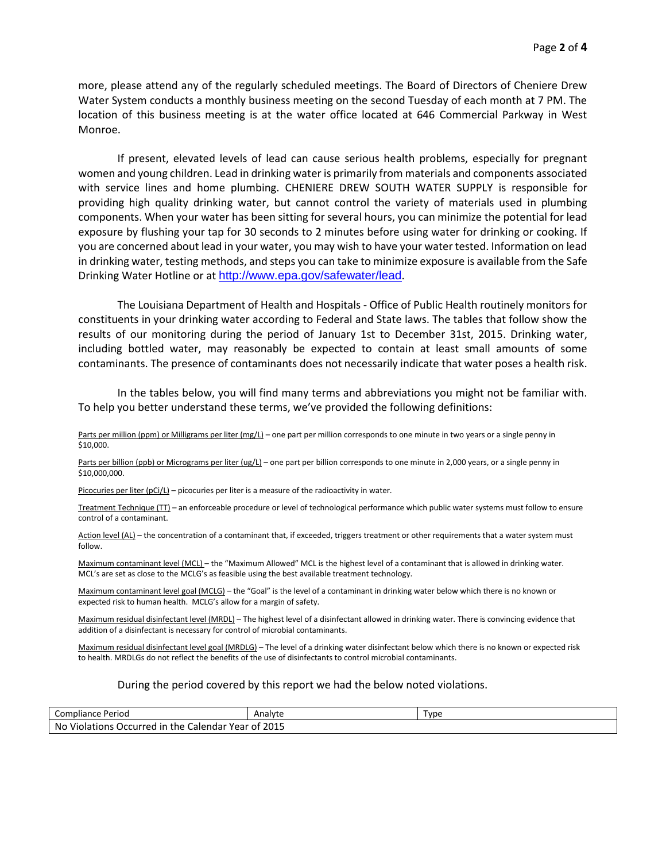more, please attend any of the regularly scheduled meetings. The Board of Directors of Cheniere Drew Water System conducts a monthly business meeting on the second Tuesday of each month at 7 PM. The location of this business meeting is at the water office located at 646 Commercial Parkway in West Monroe.

If present, elevated levels of lead can cause serious health problems, especially for pregnant women and young children. Lead in drinking water is primarily from materials and components associated with service lines and home plumbing. CHENIERE DREW SOUTH WATER SUPPLY is responsible for providing high quality drinking water, but cannot control the variety of materials used in plumbing components. When your water has been sitting for several hours, you can minimize the potential for lead exposure by flushing your tap for 30 seconds to 2 minutes before using water for drinking or cooking. If you are concerned about lead in your water, you may wish to have your water tested. Information on lead in drinking water, testing methods, and steps you can take to minimize exposure is available from the Safe Drinking Water Hotline or at <http://www.epa.gov/safewater/lead>.

The Louisiana Department of Health and Hospitals - Office of Public Health routinely monitors for constituents in your drinking water according to Federal and State laws. The tables that follow show the results of our monitoring during the period of January 1st to December 31st, 2015. Drinking water, including bottled water, may reasonably be expected to contain at least small amounts of some contaminants. The presence of contaminants does not necessarily indicate that water poses a health risk.

In the tables below, you will find many terms and abbreviations you might not be familiar with. To help you better understand these terms, we've provided the following definitions:

Parts per million (ppm) or Milligrams per liter (mg/L) – one part per million corresponds to one minute in two years or a single penny in \$10,000.

Parts per billion (ppb) or Micrograms per liter (ug/L) – one part per billion corresponds to one minute in 2,000 years, or a single penny in \$10,000,000.

Picocuries per liter (pCi/L) – picocuries per liter is a measure of the radioactivity in water.

Treatment Technique (TT) – an enforceable procedure or level of technological performance which public water systems must follow to ensure control of a contaminant.

Action level (AL) - the concentration of a contaminant that, if exceeded, triggers treatment or other requirements that a water system must follow.

Maximum contaminant level (MCL) – the "Maximum Allowed" MCL is the highest level of a contaminant that is allowed in drinking water. MCL's are set as close to the MCLG's as feasible using the best available treatment technology.

Maximum contaminant level goal (MCLG) – the "Goal" is the level of a contaminant in drinking water below which there is no known or expected risk to human health. MCLG's allow for a margin of safety.

Maximum residual disinfectant level (MRDL) – The highest level of a disinfectant allowed in drinking water. There is convincing evidence that addition of a disinfectant is necessary for control of microbial contaminants.

Maximum residual disinfectant level goal (MRDLG) – The level of a drinking water disinfectant below which there is no known or expected risk to health. MRDLGs do not reflect the benefits of the use of disinfectants to control microbial contaminants.

#### During the period covered by this report we had the below noted violations.

| Compliance<br>Period                                           | Analyte      | Tvpe |
|----------------------------------------------------------------|--------------|------|
| No<br>Violations Occurred<br>Calendar Year<br><i>in</i><br>the | 2015<br>. of |      |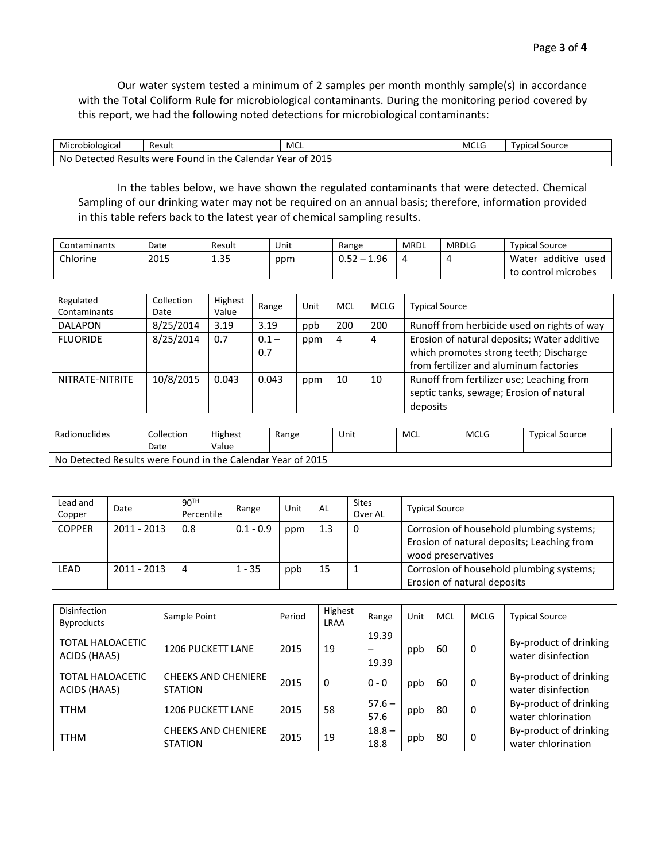Our water system tested a minimum of 2 samples per month monthly sample(s) in accordance with the Total Coliform Rule for microbiological contaminants. During the monitoring period covered by this report, we had the following noted detections for microbiological contaminants:

| Microbiological                                                       | Result | MCL | MCLG | Typical Source |  |  |
|-----------------------------------------------------------------------|--------|-----|------|----------------|--|--|
| 2015<br>No Detected Results were<br>e Found in the Calendar Year of . |        |     |      |                |  |  |

In the tables below, we have shown the regulated contaminants that were detected. Chemical Sampling of our drinking water may not be required on an annual basis; therefore, information provided in this table refers back to the latest year of chemical sampling results.

| Contaminants | Date | Result | Unit | Range               | MRDL | <b>MRDLG</b> | <b>Typical Source</b>     |
|--------------|------|--------|------|---------------------|------|--------------|---------------------------|
| Chlorine     | 2015 | 1.35   | ppm  | 1.96<br>$-$<br>◡.◡∠ |      |              | additive<br>Water<br>used |
|              |      |        |      |                     |      |              | to control microbes       |

| Regulated<br>Contaminants | Collection<br>Date | Highest<br>Value | Range          | Unit | MCL | <b>MCLG</b> | <b>Typical Source</b>                                                                                                           |
|---------------------------|--------------------|------------------|----------------|------|-----|-------------|---------------------------------------------------------------------------------------------------------------------------------|
| <b>DALAPON</b>            | 8/25/2014          | 3.19             | 3.19           | ppb  | 200 | 200         | Runoff from herbicide used on rights of way                                                                                     |
| <b>FLUORIDE</b>           | 8/25/2014          | 0.7              | $0.1 -$<br>0.7 | ppm  | 4   | 4           | Erosion of natural deposits; Water additive<br>which promotes strong teeth; Discharge<br>from fertilizer and aluminum factories |
| NITRATE-NITRITE           | 10/8/2015          | 0.043            | 0.043          | ppm  | 10  | 10          | Runoff from fertilizer use; Leaching from<br>septic tanks, sewage; Erosion of natural<br>deposits                               |

| Radionuclides                                               | Collection<br>Date | <b>Highest</b><br>Value | Range | Unit | MCL | MCLG | <b>Typical Source</b> |  |
|-------------------------------------------------------------|--------------------|-------------------------|-------|------|-----|------|-----------------------|--|
| No Detected Results were Found in the Calendar Year of 2015 |                    |                         |       |      |     |      |                       |  |

| Lead and<br>Copper | Date        | 90 <sup>TH</sup><br>Percentile | Range       | Unit | AL  | <b>Sites</b><br>Over AL | <b>Typical Source</b>                                                                                        |
|--------------------|-------------|--------------------------------|-------------|------|-----|-------------------------|--------------------------------------------------------------------------------------------------------------|
| <b>COPPER</b>      | 2011 - 2013 | 0.8                            | $0.1 - 0.9$ | ppm  | 1.3 | 0                       | Corrosion of household plumbing systems;<br>Erosion of natural deposits; Leaching from<br>wood preservatives |
| LEAD               | 2011 - 2013 | 4                              | $1 - 35$    | ppb  | 15  |                         | Corrosion of household plumbing systems;<br>Erosion of natural deposits                                      |

| Disinfection<br><b>Byproducts</b>       | Sample Point                                 | Period | Highest<br>LRAA | Range            | Unit | MCL | <b>MCLG</b> | <b>Typical Source</b>                        |
|-----------------------------------------|----------------------------------------------|--------|-----------------|------------------|------|-----|-------------|----------------------------------------------|
| <b>TOTAL HALOACETIC</b><br>ACIDS (HAA5) | <b>1206 PUCKETT LANE</b>                     | 2015   | 19              | 19.39<br>19.39   | ppb  | 60  | 0           | By-product of drinking<br>water disinfection |
| <b>TOTAL HALOACETIC</b><br>ACIDS (HAA5) | <b>CHEEKS AND CHENIERE</b><br><b>STATION</b> | 2015   | 0               | $0 - 0$          | ppb  | 60  | 0           | By-product of drinking<br>water disinfection |
| <b>TTHM</b>                             | <b>1206 PUCKETT LANE</b>                     | 2015   | 58              | $57.6 -$<br>57.6 | ppb  | 80  | 0           | By-product of drinking<br>water chlorination |
| <b>TTHM</b>                             | <b>CHEEKS AND CHENIERE</b><br><b>STATION</b> | 2015   | 19              | $18.8 -$<br>18.8 | ppb  | 80  | 0           | By-product of drinking<br>water chlorination |